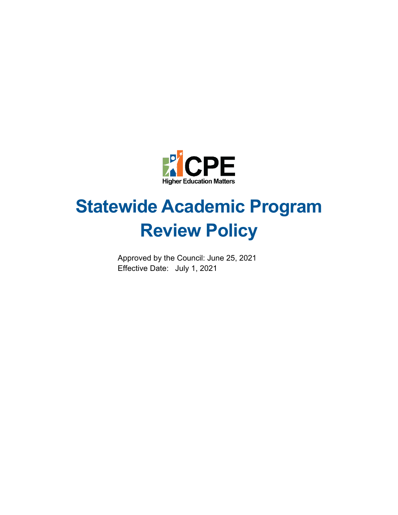

# **Statewide Academic Program Review Policy**

Approved by the Council: June 25, 2021 Effective Date: July 1, 2021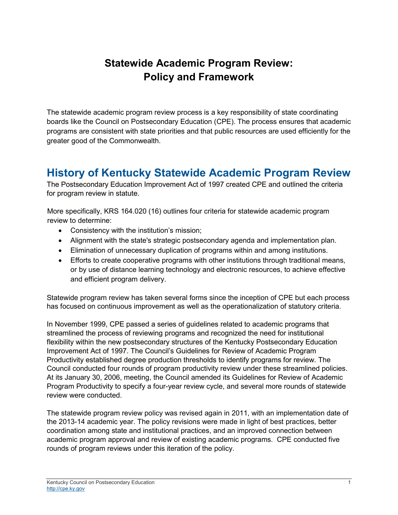# **Statewide Academic Program Review: Policy and Framework**

The statewide academic program review process is a key responsibility of state coordinating boards like the Council on Postsecondary Education (CPE). The process ensures that academic programs are consistent with state priorities and that public resources are used efficiently for the greater good of the Commonwealth.

### **History of Kentucky Statewide Academic Program Review**

The Postsecondary Education Improvement Act of 1997 created CPE and outlined the criteria for program review in statute.

More specifically, KRS 164.020 (16) outlines four criteria for statewide academic program review to determine:

- Consistency with the institution's mission;
- Alignment with the state's strategic postsecondary agenda and implementation plan.
- Elimination of unnecessary duplication of programs within and among institutions.
- Efforts to create cooperative programs with other institutions through traditional means, or by use of distance learning technology and electronic resources, to achieve effective and efficient program delivery.

Statewide program review has taken several forms since the inception of CPE but each process has focused on continuous improvement as well as the operationalization of statutory criteria.

In November 1999, CPE passed a series of guidelines related to academic programs that streamlined the process of reviewing programs and recognized the need for institutional flexibility within the new postsecondary structures of the Kentucky Postsecondary Education Improvement Act of 1997. The Council's Guidelines for Review of Academic Program Productivity established degree production thresholds to identify programs for review. The Council conducted four rounds of program productivity review under these streamlined policies. At its January 30, 2006, meeting, the Council amended its Guidelines for Review of Academic Program Productivity to specify a four-year review cycle, and several more rounds of statewide review were conducted.

The statewide program review policy was revised again in 2011, with an implementation date of the 2013-14 academic year. The policy revisions were made in light of best practices, better coordination among state and institutional practices, and an improved connection between academic program approval and review of existing academic programs. CPE conducted five rounds of program reviews under this iteration of the policy.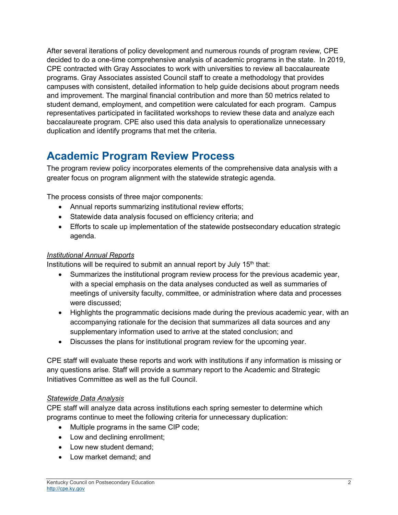After several iterations of policy development and numerous rounds of program review, CPE decided to do a one-time comprehensive analysis of academic programs in the state. In 2019, CPE contracted with Gray Associates to work with universities to review all baccalaureate programs. Gray Associates assisted Council staff to create a methodology that provides campuses with consistent, detailed information to help guide decisions about program needs and improvement. The marginal financial contribution and more than 50 metrics related to student demand, employment, and competition were calculated for each program. Campus representatives participated in facilitated workshops to review these data and analyze each baccalaureate program. CPE also used this data analysis to operationalize unnecessary duplication and identify programs that met the criteria.

# **Academic Program Review Process**

The program review policy incorporates elements of the comprehensive data analysis with a greater focus on program alignment with the statewide strategic agenda.

The process consists of three major components:

- Annual reports summarizing institutional review efforts;
- Statewide data analysis focused on efficiency criteria; and
- Efforts to scale up implementation of the statewide postsecondary education strategic agenda.

#### *Institutional Annual Reports*

Institutions will be required to submit an annual report by July  $15<sup>th</sup>$  that:

- Summarizes the institutional program review process for the previous academic year, with a special emphasis on the data analyses conducted as well as summaries of meetings of university faculty, committee, or administration where data and processes were discussed;
- Highlights the programmatic decisions made during the previous academic year, with an accompanying rationale for the decision that summarizes all data sources and any supplementary information used to arrive at the stated conclusion; and
- Discusses the plans for institutional program review for the upcoming year.

CPE staff will evaluate these reports and work with institutions if any information is missing or any questions arise. Staff will provide a summary report to the Academic and Strategic Initiatives Committee as well as the full Council.

#### *Statewide Data Analysis*

CPE staff will analyze data across institutions each spring semester to determine which programs continue to meet the following criteria for unnecessary duplication:

- Multiple programs in the same CIP code;
- Low and declining enrollment;
- Low new student demand;
- Low market demand; and